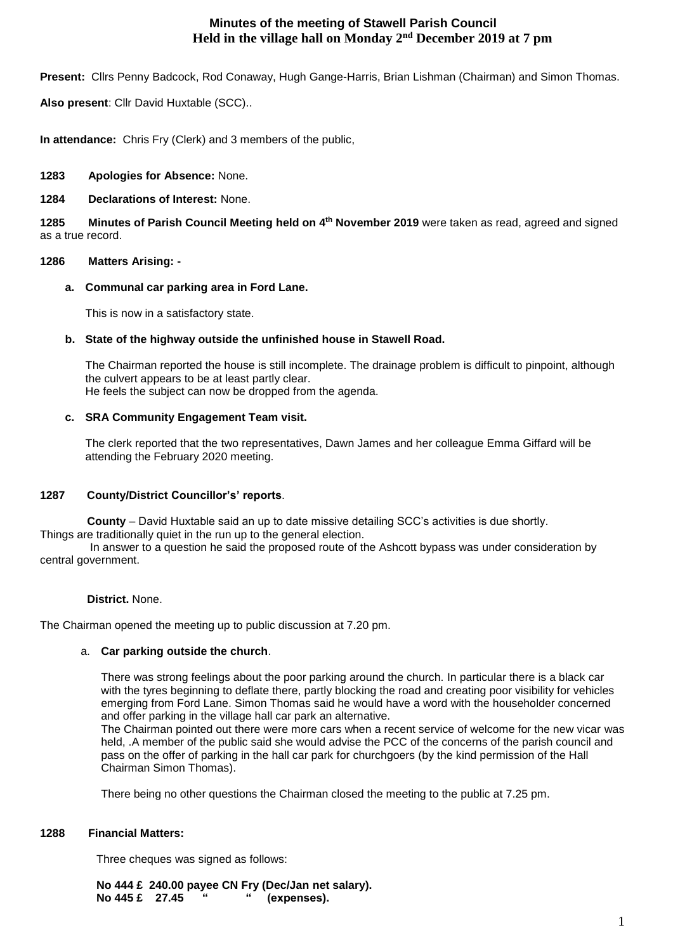# **Minutes of the meeting of Stawell Parish Council Held in the village hall on Monday 2nd December 2019 at 7 pm**

**Present:** Cllrs Penny Badcock, Rod Conaway, Hugh Gange-Harris, Brian Lishman (Chairman) and Simon Thomas.

**Also present**: Cllr David Huxtable (SCC)..

**In attendance:** Chris Fry (Clerk) and 3 members of the public,

# **1283 Apologies for Absence:** None.

# **1284 Declarations of Interest:** None.

**1285 Minutes of Parish Council Meeting held on 4 th November 2019** were taken as read, agreed and signed as a true record.

# **1286 Matters Arising: -**

#### **a. Communal car parking area in Ford Lane.**

This is now in a satisfactory state.

#### **b. State of the highway outside the unfinished house in Stawell Road.**

The Chairman reported the house is still incomplete. The drainage problem is difficult to pinpoint, although the culvert appears to be at least partly clear. He feels the subject can now be dropped from the agenda.

# **c. SRA Community Engagement Team visit.**

The clerk reported that the two representatives, Dawn James and her colleague Emma Giffard will be attending the February 2020 meeting.

# **1287 County/District Councillor's' reports**.

 **County** – David Huxtable said an up to date missive detailing SCC's activities is due shortly. Things are traditionally quiet in the run up to the general election.

In answer to a question he said the proposed route of the Ashcott bypass was under consideration by central government.

#### **District.** None.

The Chairman opened the meeting up to public discussion at 7.20 pm.

# a. **Car parking outside the church**.

There was strong feelings about the poor parking around the church. In particular there is a black car with the tyres beginning to deflate there, partly blocking the road and creating poor visibility for vehicles emerging from Ford Lane. Simon Thomas said he would have a word with the householder concerned and offer parking in the village hall car park an alternative.

The Chairman pointed out there were more cars when a recent service of welcome for the new vicar was held, .A member of the public said she would advise the PCC of the concerns of the parish council and pass on the offer of parking in the hall car park for churchgoers (by the kind permission of the Hall Chairman Simon Thomas).

There being no other questions the Chairman closed the meeting to the public at 7.25 pm.

# **1288 Financial Matters:**

Three cheques was signed as follows:

 **No 444 £ 240.00 payee CN Fry (Dec/Jan net salary). No 445 £ 27.45 " " (expenses).**